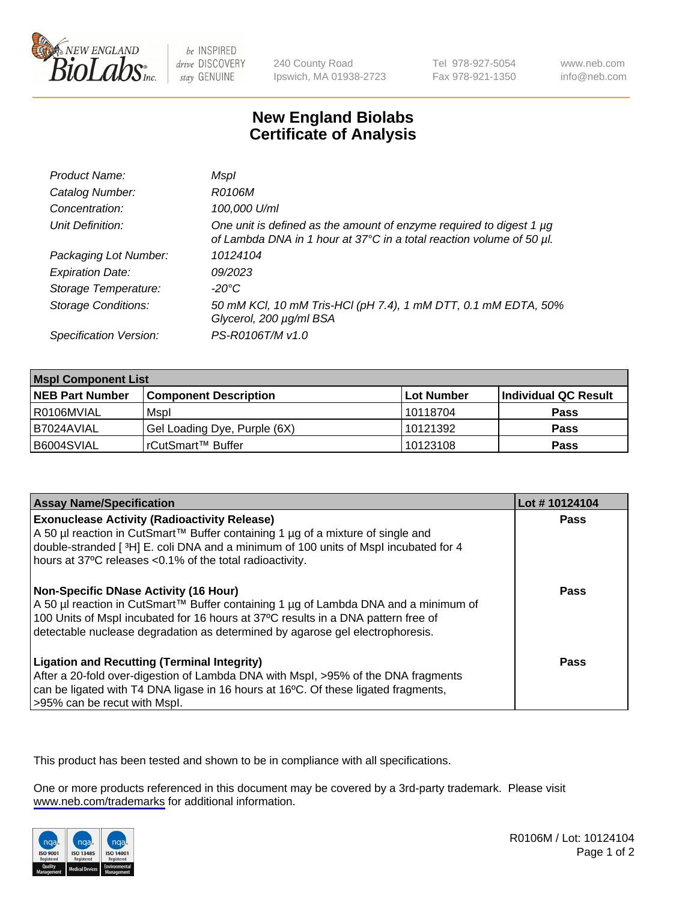

be INSPIRED drive DISCOVERY stay GENUINE

240 County Road Ipswich, MA 01938-2723 Tel 978-927-5054 Fax 978-921-1350

www.neb.com info@neb.com

## **New England Biolabs Certificate of Analysis**

| Product Name:              | Mspl                                                                                                                                             |
|----------------------------|--------------------------------------------------------------------------------------------------------------------------------------------------|
| Catalog Number:            | R0106M                                                                                                                                           |
| Concentration:             | 100,000 U/ml                                                                                                                                     |
| Unit Definition:           | One unit is defined as the amount of enzyme required to digest 1 $\mu$ g<br>of Lambda DNA in 1 hour at 37°C in a total reaction volume of 50 µl. |
| Packaging Lot Number:      | 10124104                                                                                                                                         |
| <b>Expiration Date:</b>    | 09/2023                                                                                                                                          |
| Storage Temperature:       | $-20^{\circ}$ C                                                                                                                                  |
| <b>Storage Conditions:</b> | 50 mM KCl, 10 mM Tris-HCl (pH 7.4), 1 mM DTT, 0.1 mM EDTA, 50%<br>Glycerol, 200 µg/ml BSA                                                        |
| Specification Version:     | PS-R0106T/M v1.0                                                                                                                                 |

| <b>Mspl Component List</b> |                              |            |                      |  |  |
|----------------------------|------------------------------|------------|----------------------|--|--|
| <b>NEB Part Number</b>     | <b>Component Description</b> | Lot Number | Individual QC Result |  |  |
| l R0106MVIAL               | Mspl                         | 10118704   | <b>Pass</b>          |  |  |
| I B7024AVIAL               | Gel Loading Dye, Purple (6X) | 10121392   | <b>Pass</b>          |  |  |
| B6004SVIAL                 | l rCutSmart™ Buffer          | 10123108   | <b>Pass</b>          |  |  |

| <b>Assay Name/Specification</b>                                                                                                                                                                                                                                                                        | Lot #10124104 |
|--------------------------------------------------------------------------------------------------------------------------------------------------------------------------------------------------------------------------------------------------------------------------------------------------------|---------------|
| <b>Exonuclease Activity (Radioactivity Release)</b><br>A 50 µl reaction in CutSmart™ Buffer containing 1 µg of a mixture of single and<br>double-stranded [ <sup>3</sup> H] E. coli DNA and a minimum of 100 units of Mspl incubated for 4<br>hours at 37°C releases <0.1% of the total radioactivity. | Pass          |
| Non-Specific DNase Activity (16 Hour)<br>  A 50 µl reaction in CutSmart™ Buffer containing 1 µg of Lambda DNA and a minimum of<br>100 Units of Mspl incubated for 16 hours at 37°C results in a DNA pattern free of<br>detectable nuclease degradation as determined by agarose gel electrophoresis.   | <b>Pass</b>   |
| <b>Ligation and Recutting (Terminal Integrity)</b><br>After a 20-fold over-digestion of Lambda DNA with Mspl, >95% of the DNA fragments<br>can be ligated with T4 DNA ligase in 16 hours at 16 $^{\circ}$ C. Of these ligated fragments,<br>>95% can be recut with Mspl.                               | Pass          |

This product has been tested and shown to be in compliance with all specifications.

One or more products referenced in this document may be covered by a 3rd-party trademark. Please visit <www.neb.com/trademarks>for additional information.